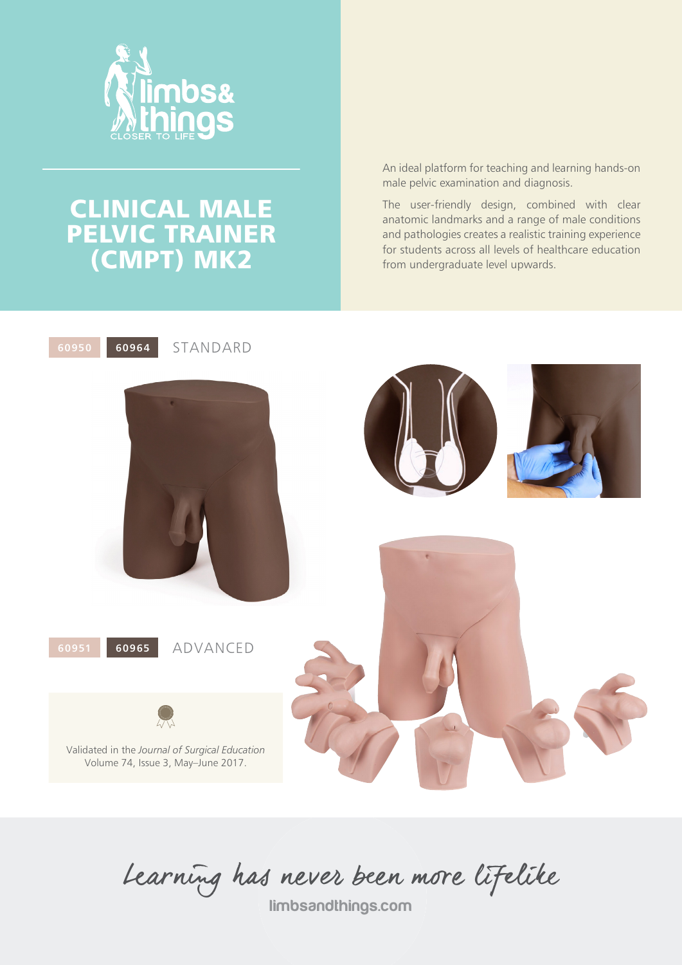

# CLINICAL MALE PELVIC TRAINER (CMPT) MK2

An ideal platform for teaching and learning hands-on male pelvic examination and diagnosis.

The user-friendly design, combined with clear anatomic landmarks and a range of male conditions and pathologies creates a realistic training experience for students across all levels of healthcare education from undergraduate level upwards.



Learning has never been more lifelike

limbsandthings.com